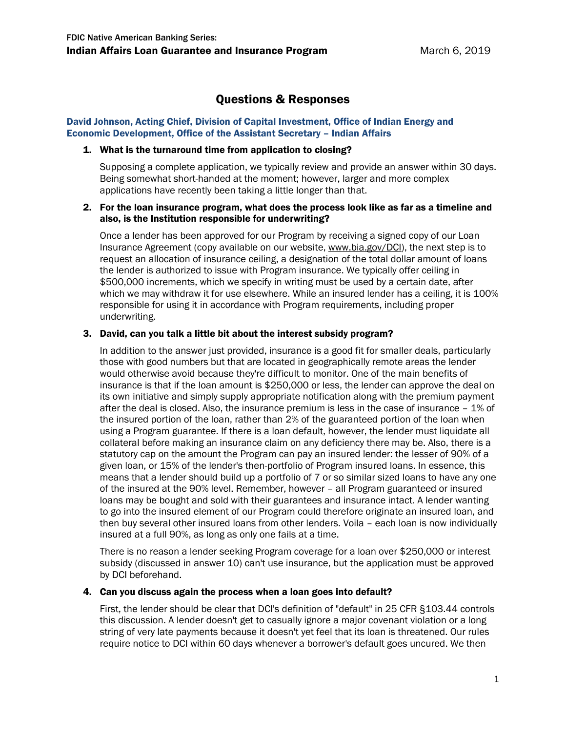# Questions & Responses

#### David Johnson, Acting Chief, Division of Capital Investment, Office of Indian Energy and Economic Development, Office of the Assistant Secretary – Indian Affairs

# 1. What is the turnaround time from application to closing?

Supposing a complete application, we typically review and provide an answer within 30 days. Being somewhat short-handed at the moment; however, larger and more complex applications have recently been taking a little longer than that.

# 2. For the loan insurance program, what does the process look like as far as a timeline and also, is the Institution responsible for underwriting?

Once a lender has been approved for our Program by receiving a signed copy of our Loan Insurance Agreement (copy available on our website, [www.bia.gov/DCI\)](http://www.bia.gov/DCI), the next step is to request an allocation of insurance ceiling, a designation of the total dollar amount of loans the lender is authorized to issue with Program insurance. We typically offer ceiling in \$500,000 increments, which we specify in writing must be used by a certain date, after which we may withdraw it for use elsewhere. While an insured lender has a ceiling, it is 100% responsible for using it in accordance with Program requirements, including proper underwriting.

# 3. David, can you talk a little bit about the interest subsidy program?

In addition to the answer just provided, insurance is a good fit for smaller deals, particularly those with good numbers but that are located in geographically remote areas the lender would otherwise avoid because they're difficult to monitor. One of the main benefits of insurance is that if the loan amount is \$250,000 or less, the lender can approve the deal on its own initiative and simply supply appropriate notification along with the premium payment after the deal is closed. Also, the insurance premium is less in the case of insurance – 1% of the insured portion of the loan, rather than 2% of the guaranteed portion of the loan when using a Program guarantee. If there is a loan default, however, the lender must liquidate all collateral before making an insurance claim on any deficiency there may be. Also, there is a statutory cap on the amount the Program can pay an insured lender: the lesser of 90% of a given loan, or 15% of the lender's then-portfolio of Program insured loans. In essence, this means that a lender should build up a portfolio of 7 or so similar sized loans to have any one of the insured at the 90% level. Remember, however – all Program guaranteed or insured loans may be bought and sold with their guarantees and insurance intact. A lender wanting to go into the insured element of our Program could therefore originate an insured loan, and then buy several other insured loans from other lenders. Voila – each loan is now individually insured at a full 90%, as long as only one fails at a time.

There is no reason a lender seeking Program coverage for a loan over \$250,000 or interest subsidy (discussed in answer 10) can't use insurance, but the application must be approved by DCI beforehand.

# 4. Can you discuss again the process when a loan goes into default?

First, the lender should be clear that DCI's definition of "default" in 25 CFR §103.44 controls this discussion. A lender doesn't get to casually ignore a major covenant violation or a long string of very late payments because it doesn't yet feel that its loan is threatened. Our rules require notice to DCI within 60 days whenever a borrower's default goes uncured. We then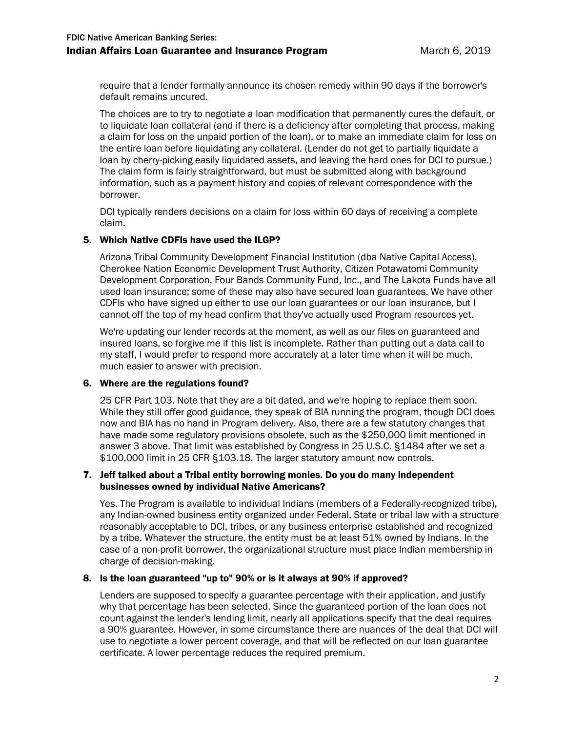require that a lender formally announce its chosen remedy within 90 days if the borrower's default remains uncured.

The choices are to try to negotiate a loan modification that permanently cures the default, or to liquidate loan collateral (and if there is a deficiency after completing that process, making a claim for loss on the unpaid portion of the loan), or to make an immediate claim for loss on the entire loan before liquidating any collateral. (Lender do not get to partially liquidate a loan by cherry-picking easily liquidated assets, and leaving the hard ones for DCI to pursue.) The claim form is fairly straightforward, but must be submitted along with background information, such as a payment history and copies of relevant correspondence with the borrower.

DCI typically renders decisions on a claim for loss within 60 days of receiving a complete claim.

# 5. Which Native CDFIs have used the ILGP?

Arizona Tribal Community Development Financial Institution (dba Native Capital Access), Cherokee Nation Economic Development Trust Authority, Citizen Potawatomi Community Development Corporation, Four Bands Community Fund, Inc., and The Lakota Funds have all used loan insurance; some of these may also have secured loan guarantees. We have other CDFIs who have signed up either to use our loan guarantees or our loan insurance, but I cannot off the top of my head confirm that they've actually used Program resources yet.

We're updating our lender records at the moment, as well as our files on guaranteed and insured loans, so forgive me if this list is incomplete. Rather than putting out a data call to my staff, I would prefer to respond more accurately at a later time when it will be much, much easier to answer with precision.

# 6. Where are the regulations found?

25 CFR Part 103. Note that they are a bit dated, and we're hoping to replace them soon. While they still offer good guidance, they speak of BIA running the program, though DCI does now and BIA has no hand in Program delivery. Also, there are a few statutory changes that have made some regulatory provisions obsolete, such as the \$250,000 limit mentioned in answer 3 above. That limit was established by Congress in 25 U.S.C. §1484 after we set a \$100,000 limit in 25 CFR §103.18. The larger statutory amount now controls.

# 7. Jeff talked about a Tribal entity borrowing monies. Do you do many independent businesses owned by individual Native Americans?

Yes. The Program is available to individual Indians (members of a Federally-recognized tribe), any Indian-owned business entity organized under Federal, State or tribal law with a structure reasonably acceptable to DCI, tribes, or any business enterprise established and recognized by a tribe. Whatever the structure, the entity must be at least 51% owned by Indians. In the case of a non-profit borrower, the organizational structure must place Indian membership in charge of decision-making.

# 8. Is the loan guaranteed "up to" 90% or is it always at 90% if approved?

Lenders are supposed to specify a guarantee percentage with their application, and justify why that percentage has been selected. Since the guaranteed portion of the loan does not count against the lender's lending limit, nearly all applications specify that the deal requires a 90% guarantee. However, in some circumstance there are nuances of the deal that DCI will use to negotiate a lower percent coverage, and that will be reflected on our loan guarantee certificate. A lower percentage reduces the required premium.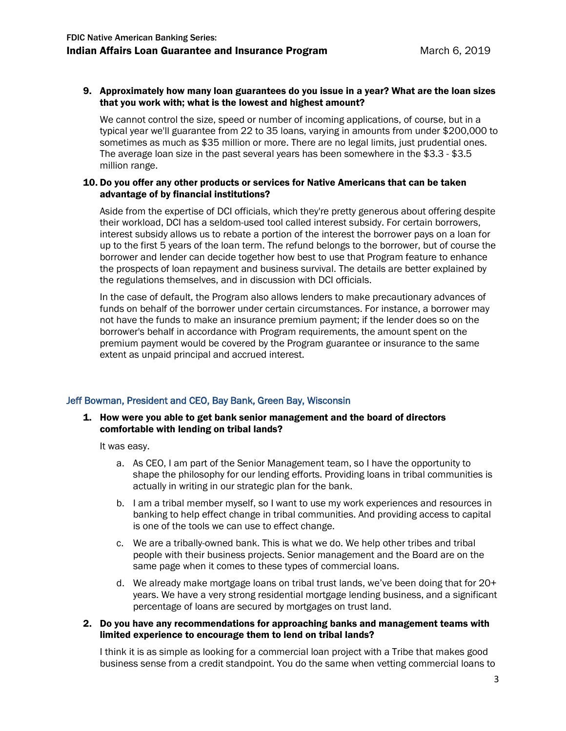#### 9. Approximately how many loan guarantees do you issue in a year? What are the loan sizes that you work with; what is the lowest and highest amount?

We cannot control the size, speed or number of incoming applications, of course, but in a typical year we'll guarantee from 22 to 35 loans, varying in amounts from under \$200,000 to sometimes as much as \$35 million or more. There are no legal limits, just prudential ones. The average loan size in the past several years has been somewhere in the \$3.3 - \$3.5 million range.

#### 10. Do you offer any other products or services for Native Americans that can be taken advantage of by financial institutions?

Aside from the expertise of DCI officials, which they're pretty generous about offering despite their workload, DCI has a seldom-used tool called interest subsidy. For certain borrowers, interest subsidy allows us to rebate a portion of the interest the borrower pays on a loan for up to the first 5 years of the loan term. The refund belongs to the borrower, but of course the borrower and lender can decide together how best to use that Program feature to enhance the prospects of loan repayment and business survival. The details are better explained by the regulations themselves, and in discussion with DCI officials.

In the case of default, the Program also allows lenders to make precautionary advances of funds on behalf of the borrower under certain circumstances. For instance, a borrower may not have the funds to make an insurance premium payment; if the lender does so on the borrower's behalf in accordance with Program requirements, the amount spent on the premium payment would be covered by the Program guarantee or insurance to the same extent as unpaid principal and accrued interest.

# Jeff Bowman, President and CEO, Bay Bank, Green Bay, Wisconsin

#### 1. How were you able to get bank senior management and the board of directors comfortable with lending on tribal lands?

It was easy.

- a. As CEO, I am part of the Senior Management team, so I have the opportunity to shape the philosophy for our lending efforts. Providing loans in tribal communities is actually in writing in our strategic plan for the bank.
- b. I am a tribal member myself, so I want to use my work experiences and resources in banking to help effect change in tribal communities. And providing access to capital is one of the tools we can use to effect change.
- c. We are a tribally-owned bank. This is what we do. We help other tribes and tribal people with their business projects. Senior management and the Board are on the same page when it comes to these types of commercial loans.
- d. We already make mortgage loans on tribal trust lands, we've been doing that for 20+ years. We have a very strong residential mortgage lending business, and a significant percentage of loans are secured by mortgages on trust land.

#### 2. Do you have any recommendations for approaching banks and management teams with limited experience to encourage them to lend on tribal lands?

I think it is as simple as looking for a commercial loan project with a Tribe that makes good business sense from a credit standpoint. You do the same when vetting commercial loans to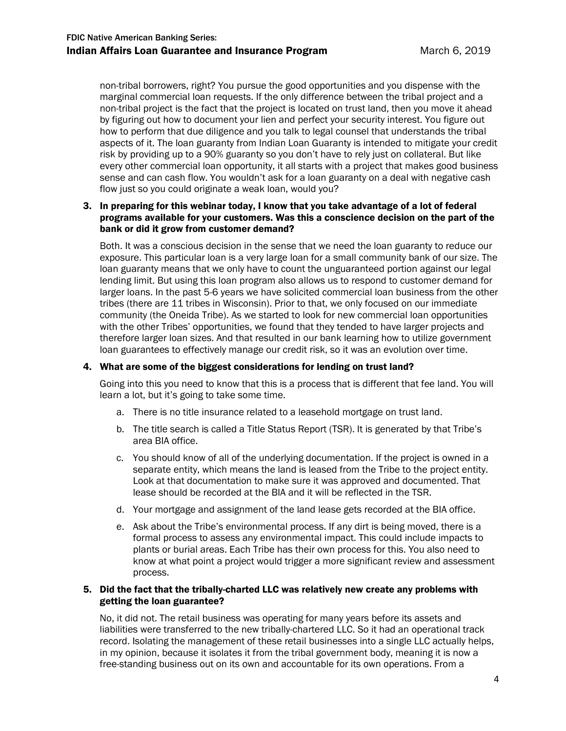non-tribal borrowers, right? You pursue the good opportunities and you dispense with the marginal commercial loan requests. If the only difference between the tribal project and a non-tribal project is the fact that the project is located on trust land, then you move it ahead by figuring out how to document your lien and perfect your security interest. You figure out how to perform that due diligence and you talk to legal counsel that understands the tribal aspects of it. The loan guaranty from Indian Loan Guaranty is intended to mitigate your credit risk by providing up to a 90% guaranty so you don't have to rely just on collateral. But like every other commercial loan opportunity, it all starts with a project that makes good business sense and can cash flow. You wouldn't ask for a loan guaranty on a deal with negative cash flow just so you could originate a weak loan, would you?

# 3. In preparing for this webinar today, I know that you take advantage of a lot of federal programs available for your customers. Was this a conscience decision on the part of the bank or did it grow from customer demand?

Both. It was a conscious decision in the sense that we need the loan guaranty to reduce our exposure. This particular loan is a very large loan for a small community bank of our size. The loan guaranty means that we only have to count the unguaranteed portion against our legal lending limit. But using this loan program also allows us to respond to customer demand for larger loans. In the past 5-6 years we have solicited commercial loan business from the other tribes (there are 11 tribes in Wisconsin). Prior to that, we only focused on our immediate community (the Oneida Tribe). As we started to look for new commercial loan opportunities with the other Tribes' opportunities, we found that they tended to have larger projects and therefore larger loan sizes. And that resulted in our bank learning how to utilize government loan guarantees to effectively manage our credit risk, so it was an evolution over time.

#### 4. What are some of the biggest considerations for lending on trust land?

Going into this you need to know that this is a process that is different that fee land. You will learn a lot, but it's going to take some time.

- a. There is no title insurance related to a leasehold mortgage on trust land.
- b. The title search is called a Title Status Report (TSR). It is generated by that Tribe's area BIA office.
- c. You should know of all of the underlying documentation. If the project is owned in a separate entity, which means the land is leased from the Tribe to the project entity. Look at that documentation to make sure it was approved and documented. That lease should be recorded at the BIA and it will be reflected in the TSR.
- d. Your mortgage and assignment of the land lease gets recorded at the BIA office.
- e. Ask about the Tribe's environmental process. If any dirt is being moved, there is a formal process to assess any environmental impact. This could include impacts to plants or burial areas. Each Tribe has their own process for this. You also need to know at what point a project would trigger a more significant review and assessment process.

# 5. Did the fact that the tribally-charted LLC was relatively new create any problems with getting the loan guarantee?

No, it did not. The retail business was operating for many years before its assets and liabilities were transferred to the new tribally-chartered LLC. So it had an operational track record. Isolating the management of these retail businesses into a single LLC actually helps, in my opinion, because it isolates it from the tribal government body, meaning it is now a free-standing business out on its own and accountable for its own operations. From a